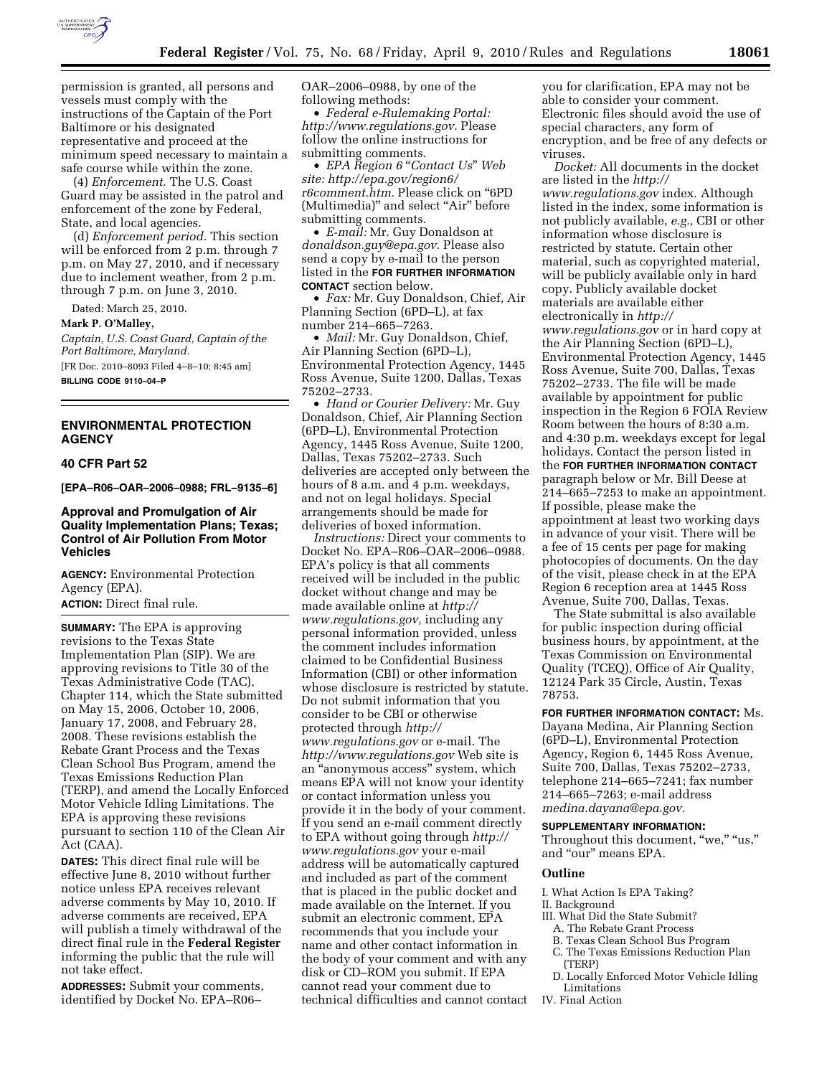

permission is granted, all persons and vessels must comply with the instructions of the Captain of the Port Baltimore or his designated representative and proceed at the minimum speed necessary to maintain a safe course while within the zone.

(4) *Enforcement.* The U.S. Coast Guard may be assisted in the patrol and enforcement of the zone by Federal, State, and local agencies.

(d) *Enforcement period.* This section will be enforced from 2 p.m. through 7 p.m. on May 27, 2010, and if necessary due to inclement weather, from 2 p.m. through 7 p.m. on June 3, 2010.

Dated: March 25, 2010.

#### **Mark P. O'Malley,**

*Captain, U.S. Coast Guard, Captain of the Port Baltimore, Maryland.* 

[FR Doc. 2010–8093 Filed 4–8–10; 8:45 am] **BILLING CODE 9110–04–P** 

### **ENVIRONMENTAL PROTECTION AGENCY**

### **40 CFR Part 52**

**[EPA–R06–OAR–2006–0988; FRL–9135–6]** 

#### **Approval and Promulgation of Air Quality Implementation Plans; Texas; Control of Air Pollution From Motor Vehicles**

**AGENCY:** Environmental Protection Agency (EPA). **ACTION:** Direct final rule.

**SUMMARY:** The EPA is approving revisions to the Texas State Implementation Plan (SIP). We are approving revisions to Title 30 of the Texas Administrative Code (TAC), Chapter 114, which the State submitted on May 15, 2006, October 10, 2006, January 17, 2008, and February 28, 2008. These revisions establish the Rebate Grant Process and the Texas Clean School Bus Program, amend the Texas Emissions Reduction Plan (TERP), and amend the Locally Enforced Motor Vehicle Idling Limitations. The EPA is approving these revisions pursuant to section 110 of the Clean Air Act (CAA).

**DATES:** This direct final rule will be effective June 8, 2010 without further notice unless EPA receives relevant adverse comments by May 10, 2010. If adverse comments are received, EPA will publish a timely withdrawal of the direct final rule in the **Federal Register**  informing the public that the rule will not take effect.

**ADDRESSES:** Submit your comments, identified by Docket No. EPA–R06–

OAR–2006–0988, by one of the following methods:

• *Federal e-Rulemaking Portal: http://www.regulations.gov.* Please follow the online instructions for submitting comments.

• *EPA Region 6* "*Contact Us*" *Web site: http://epa.gov/region6/ r6comment.htm.* Please click on ''6PD (Multimedia)" and select "Air" before submitting comments.

• *E-mail:* Mr. Guy Donaldson at *donaldson.guy@epa.gov.* Please also send a copy by e-mail to the person listed in the **FOR FURTHER INFORMATION CONTACT** section below.

• *Fax:* Mr. Guy Donaldson, Chief, Air Planning Section (6PD–L), at fax number 214–665–7263.

• *Mail:* Mr. Guy Donaldson, Chief, Air Planning Section (6PD–L), Environmental Protection Agency, 1445 Ross Avenue, Suite 1200, Dallas, Texas 75202–2733.

• *Hand or Courier Delivery:* Mr. Guy Donaldson, Chief, Air Planning Section (6PD–L), Environmental Protection Agency, 1445 Ross Avenue, Suite 1200, Dallas, Texas 75202–2733. Such deliveries are accepted only between the hours of 8 a.m. and 4 p.m. weekdays, and not on legal holidays. Special arrangements should be made for deliveries of boxed information.

*Instructions:* Direct your comments to Docket No. EPA–R06–OAR–2006–0988. EPA's policy is that all comments received will be included in the public docket without change and may be made available online at *http:// www.regulations.gov,* including any personal information provided, unless the comment includes information claimed to be Confidential Business Information (CBI) or other information whose disclosure is restricted by statute. Do not submit information that you consider to be CBI or otherwise protected through *http:// www.regulations.gov* or e-mail. The *http://www.regulations.gov* Web site is an ''anonymous access'' system, which means EPA will not know your identity or contact information unless you provide it in the body of your comment. If you send an e-mail comment directly to EPA without going through *http:// www.regulations.gov* your e-mail address will be automatically captured and included as part of the comment that is placed in the public docket and made available on the Internet. If you submit an electronic comment, EPA recommends that you include your name and other contact information in the body of your comment and with any disk or CD–ROM you submit. If EPA cannot read your comment due to technical difficulties and cannot contact

you for clarification, EPA may not be able to consider your comment. Electronic files should avoid the use of special characters, any form of encryption, and be free of any defects or viruses.

*Docket:* All documents in the docket are listed in the *http:// www.regulations.gov* index. Although listed in the index, some information is not publicly available, *e.g.,* CBI or other information whose disclosure is restricted by statute. Certain other material, such as copyrighted material, will be publicly available only in hard copy. Publicly available docket materials are available either electronically in *http:// www.regulations.gov* or in hard copy at the Air Planning Section (6PD–L), Environmental Protection Agency, 1445 Ross Avenue, Suite 700, Dallas, Texas 75202–2733. The file will be made available by appointment for public inspection in the Region 6 FOIA Review Room between the hours of 8:30 a.m. and 4:30 p.m. weekdays except for legal holidays. Contact the person listed in the **FOR FURTHER INFORMATION CONTACT** paragraph below or Mr. Bill Deese at 214–665–7253 to make an appointment. If possible, please make the appointment at least two working days in advance of your visit. There will be a fee of 15 cents per page for making photocopies of documents. On the day of the visit, please check in at the EPA Region 6 reception area at 1445 Ross Avenue, Suite 700, Dallas, Texas.

The State submittal is also available for public inspection during official business hours, by appointment, at the Texas Commission on Environmental Quality (TCEQ), Office of Air Quality, 12124 Park 35 Circle, Austin, Texas 78753.

**FOR FURTHER INFORMATION CONTACT:** Ms. Dayana Medina, Air Planning Section (6PD–L), Environmental Protection Agency, Region 6, 1445 Ross Avenue, Suite 700, Dallas, Texas 75202–2733, telephone 214–665–7241; fax number 214–665–7263; e-mail address *medina.dayana@epa.gov.* 

**SUPPLEMENTARY INFORMATION:** 

Throughout this document, "we," "us," and "our" means EPA.

# **Outline**

- I. What Action Is EPA Taking?
- II. Background
- III. What Did the State Submit?
	- A. The Rebate Grant Process
- B. Texas Clean School Bus Program
- C. The Texas Emissions Reduction Plan (TERP)
- D. Locally Enforced Motor Vehicle Idling Limitations
- IV. Final Action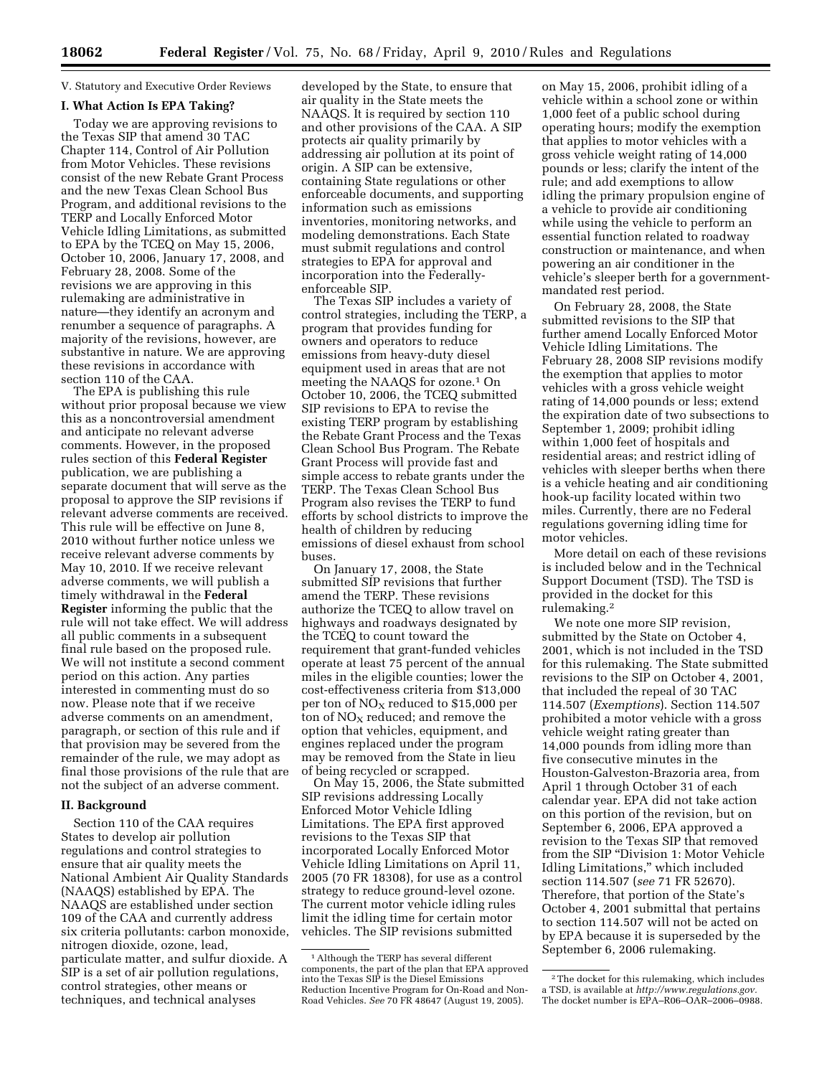# V. Statutory and Executive Order Reviews

#### **I. What Action Is EPA Taking?**

Today we are approving revisions to the Texas SIP that amend 30 TAC Chapter 114, Control of Air Pollution from Motor Vehicles. These revisions consist of the new Rebate Grant Process and the new Texas Clean School Bus Program, and additional revisions to the TERP and Locally Enforced Motor Vehicle Idling Limitations, as submitted to EPA by the TCEQ on May 15, 2006, October 10, 2006, January 17, 2008, and February 28, 2008. Some of the revisions we are approving in this rulemaking are administrative in nature—they identify an acronym and renumber a sequence of paragraphs. A majority of the revisions, however, are substantive in nature. We are approving these revisions in accordance with section 110 of the CAA.

The EPA is publishing this rule without prior proposal because we view this as a noncontroversial amendment and anticipate no relevant adverse comments. However, in the proposed rules section of this **Federal Register**  publication, we are publishing a separate document that will serve as the proposal to approve the SIP revisions if relevant adverse comments are received. This rule will be effective on June 8, 2010 without further notice unless we receive relevant adverse comments by May 10, 2010. If we receive relevant adverse comments, we will publish a timely withdrawal in the **Federal Register** informing the public that the rule will not take effect. We will address all public comments in a subsequent final rule based on the proposed rule. We will not institute a second comment period on this action. Any parties interested in commenting must do so now. Please note that if we receive adverse comments on an amendment, paragraph, or section of this rule and if that provision may be severed from the remainder of the rule, we may adopt as final those provisions of the rule that are not the subject of an adverse comment.

#### **II. Background**

Section 110 of the CAA requires States to develop air pollution regulations and control strategies to ensure that air quality meets the National Ambient Air Quality Standards (NAAQS) established by EPA. The NAAQS are established under section 109 of the CAA and currently address six criteria pollutants: carbon monoxide, nitrogen dioxide, ozone, lead, particulate matter, and sulfur dioxide. A SIP is a set of air pollution regulations, control strategies, other means or techniques, and technical analyses

developed by the State, to ensure that air quality in the State meets the NAAQS. It is required by section 110 and other provisions of the CAA. A SIP protects air quality primarily by addressing air pollution at its point of origin. A SIP can be extensive, containing State regulations or other enforceable documents, and supporting information such as emissions inventories, monitoring networks, and modeling demonstrations. Each State must submit regulations and control strategies to EPA for approval and incorporation into the Federallyenforceable SIP.

The Texas SIP includes a variety of control strategies, including the TERP, a program that provides funding for owners and operators to reduce emissions from heavy-duty diesel equipment used in areas that are not meeting the NAAQS for ozone.1 On October 10, 2006, the TCEQ submitted SIP revisions to EPA to revise the existing TERP program by establishing the Rebate Grant Process and the Texas Clean School Bus Program. The Rebate Grant Process will provide fast and simple access to rebate grants under the TERP. The Texas Clean School Bus Program also revises the TERP to fund efforts by school districts to improve the health of children by reducing emissions of diesel exhaust from school buses.

On January 17, 2008, the State submitted SIP revisions that further amend the TERP. These revisions authorize the TCEQ to allow travel on highways and roadways designated by the TCEQ to count toward the requirement that grant-funded vehicles operate at least 75 percent of the annual miles in the eligible counties; lower the cost-effectiveness criteria from \$13,000 per ton of  $NO<sub>X</sub>$  reduced to \$15,000 per ton of  $NO<sub>x</sub>$  reduced; and remove the option that vehicles, equipment, and engines replaced under the program may be removed from the State in lieu of being recycled or scrapped.

On May 15, 2006, the State submitted SIP revisions addressing Locally Enforced Motor Vehicle Idling Limitations. The EPA first approved revisions to the Texas SIP that incorporated Locally Enforced Motor Vehicle Idling Limitations on April 11, 2005 (70 FR 18308), for use as a control strategy to reduce ground-level ozone. The current motor vehicle idling rules limit the idling time for certain motor vehicles. The SIP revisions submitted

on May 15, 2006, prohibit idling of a vehicle within a school zone or within 1,000 feet of a public school during operating hours; modify the exemption that applies to motor vehicles with a gross vehicle weight rating of 14,000 pounds or less; clarify the intent of the rule; and add exemptions to allow idling the primary propulsion engine of a vehicle to provide air conditioning while using the vehicle to perform an essential function related to roadway construction or maintenance, and when powering an air conditioner in the vehicle's sleeper berth for a governmentmandated rest period.

On February 28, 2008, the State submitted revisions to the SIP that further amend Locally Enforced Motor Vehicle Idling Limitations. The February 28, 2008 SIP revisions modify the exemption that applies to motor vehicles with a gross vehicle weight rating of 14,000 pounds or less; extend the expiration date of two subsections to September 1, 2009; prohibit idling within 1,000 feet of hospitals and residential areas; and restrict idling of vehicles with sleeper berths when there is a vehicle heating and air conditioning hook-up facility located within two miles. Currently, there are no Federal regulations governing idling time for motor vehicles.

More detail on each of these revisions is included below and in the Technical Support Document (TSD). The TSD is provided in the docket for this rulemaking.2

We note one more SIP revision, submitted by the State on October 4, 2001, which is not included in the TSD for this rulemaking. The State submitted revisions to the SIP on October 4, 2001, that included the repeal of 30 TAC 114.507 (*Exemptions*). Section 114.507 prohibited a motor vehicle with a gross vehicle weight rating greater than 14,000 pounds from idling more than five consecutive minutes in the Houston-Galveston-Brazoria area, from April 1 through October 31 of each calendar year. EPA did not take action on this portion of the revision, but on September 6, 2006, EPA approved a revision to the Texas SIP that removed from the SIP "Division 1: Motor Vehicle Idling Limitations,'' which included section 114.507 (*see* 71 FR 52670). Therefore, that portion of the State's October 4, 2001 submittal that pertains to section 114.507 will not be acted on by EPA because it is superseded by the September 6, 2006 rulemaking.

<sup>1</sup>Although the TERP has several different components, the part of the plan that EPA approved into the Texas SIP is the Diesel Emissions Reduction Incentive Program for On-Road and Non-Road Vehicles. *See* 70 FR 48647 (August 19, 2005).

<sup>2</sup>The docket for this rulemaking, which includes a TSD, is available at *http://www.regulations.gov.*  The docket number is EPA-R06-OAR-2006-0988.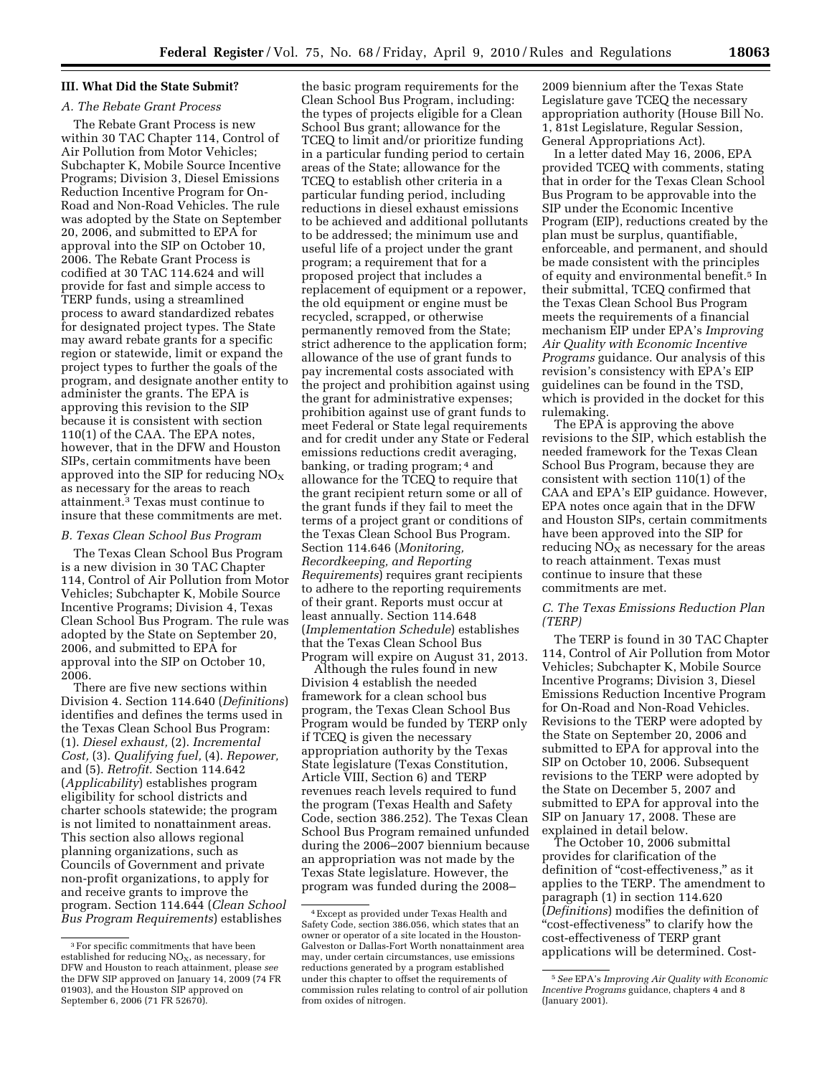# **III. What Did the State Submit?**

# *A. The Rebate Grant Process*

The Rebate Grant Process is new within 30 TAC Chapter 114, Control of Air Pollution from Motor Vehicles; Subchapter K, Mobile Source Incentive Programs; Division 3, Diesel Emissions Reduction Incentive Program for On-Road and Non-Road Vehicles. The rule was adopted by the State on September 20, 2006, and submitted to EPA for approval into the SIP on October 10, 2006. The Rebate Grant Process is codified at 30 TAC 114.624 and will provide for fast and simple access to TERP funds, using a streamlined process to award standardized rebates for designated project types. The State may award rebate grants for a specific region or statewide, limit or expand the project types to further the goals of the program, and designate another entity to administer the grants. The EPA is approving this revision to the SIP because it is consistent with section 110(1) of the CAA. The EPA notes, however, that in the DFW and Houston SIPs, certain commitments have been approved into the SIP for reducing  $NO<sub>x</sub>$ as necessary for the areas to reach attainment.3 Texas must continue to insure that these commitments are met.

# *B. Texas Clean School Bus Program*

The Texas Clean School Bus Program is a new division in 30 TAC Chapter 114, Control of Air Pollution from Motor Vehicles; Subchapter K, Mobile Source Incentive Programs; Division 4, Texas Clean School Bus Program. The rule was adopted by the State on September 20, 2006, and submitted to EPA for approval into the SIP on October 10, 2006.

There are five new sections within Division 4. Section 114.640 (*Definitions*) identifies and defines the terms used in the Texas Clean School Bus Program: (1). *Diesel exhaust,* (2). *Incremental Cost,* (3). *Qualifying fuel,* (4). *Repower,*  and (5). *Retrofit.* Section 114.642 (*Applicability*) establishes program eligibility for school districts and charter schools statewide; the program is not limited to nonattainment areas. This section also allows regional planning organizations, such as Councils of Government and private non-profit organizations, to apply for and receive grants to improve the program. Section 114.644 (*Clean School Bus Program Requirements*) establishes

the basic program requirements for the Clean School Bus Program, including: the types of projects eligible for a Clean School Bus grant; allowance for the TCEQ to limit and/or prioritize funding in a particular funding period to certain areas of the State; allowance for the TCEQ to establish other criteria in a particular funding period, including reductions in diesel exhaust emissions to be achieved and additional pollutants to be addressed; the minimum use and useful life of a project under the grant program; a requirement that for a proposed project that includes a replacement of equipment or a repower, the old equipment or engine must be recycled, scrapped, or otherwise permanently removed from the State; strict adherence to the application form; allowance of the use of grant funds to pay incremental costs associated with the project and prohibition against using the grant for administrative expenses; prohibition against use of grant funds to meet Federal or State legal requirements and for credit under any State or Federal emissions reductions credit averaging, banking, or trading program; 4 and allowance for the TCEQ to require that the grant recipient return some or all of the grant funds if they fail to meet the terms of a project grant or conditions of the Texas Clean School Bus Program. Section 114.646 (*Monitoring, Recordkeeping, and Reporting Requirements*) requires grant recipients to adhere to the reporting requirements of their grant. Reports must occur at least annually. Section 114.648 (*Implementation Schedule*) establishes that the Texas Clean School Bus Program will expire on August 31, 2013.

Although the rules found in new Division 4 establish the needed framework for a clean school bus program, the Texas Clean School Bus Program would be funded by TERP only if TCEQ is given the necessary appropriation authority by the Texas State legislature (Texas Constitution, Article VIII, Section 6) and TERP revenues reach levels required to fund the program (Texas Health and Safety Code, section 386.252). The Texas Clean School Bus Program remained unfunded during the 2006–2007 biennium because an appropriation was not made by the Texas State legislature. However, the program was funded during the 2008–

2009 biennium after the Texas State Legislature gave TCEQ the necessary appropriation authority (House Bill No. 1, 81st Legislature, Regular Session, General Appropriations Act).

In a letter dated May 16, 2006, EPA provided TCEQ with comments, stating that in order for the Texas Clean School Bus Program to be approvable into the SIP under the Economic Incentive Program (EIP), reductions created by the plan must be surplus, quantifiable, enforceable, and permanent, and should be made consistent with the principles of equity and environmental benefit.5 In their submittal, TCEQ confirmed that the Texas Clean School Bus Program meets the requirements of a financial mechanism EIP under EPA's *Improving Air Quality with Economic Incentive Programs* guidance. Our analysis of this revision's consistency with EPA's EIP guidelines can be found in the TSD, which is provided in the docket for this rulemaking.

The EPA is approving the above revisions to the SIP, which establish the needed framework for the Texas Clean School Bus Program, because they are consistent with section 110(1) of the CAA and EPA's EIP guidance. However, EPA notes once again that in the DFW and Houston SIPs, certain commitments have been approved into the SIP for reducing  $NO<sub>x</sub>$  as necessary for the areas to reach attainment. Texas must continue to insure that these commitments are met.

### *C. The Texas Emissions Reduction Plan (TERP)*

The TERP is found in 30 TAC Chapter 114, Control of Air Pollution from Motor Vehicles; Subchapter K, Mobile Source Incentive Programs; Division 3, Diesel Emissions Reduction Incentive Program for On-Road and Non-Road Vehicles. Revisions to the TERP were adopted by the State on September 20, 2006 and submitted to EPA for approval into the SIP on October 10, 2006. Subsequent revisions to the TERP were adopted by the State on December 5, 2007 and submitted to EPA for approval into the SIP on January 17, 2008. These are explained in detail below.

The October 10, 2006 submittal provides for clarification of the definition of "cost-effectiveness," as it applies to the TERP. The amendment to paragraph (1) in section 114.620 (*Definitions*) modifies the definition of ''cost-effectiveness'' to clarify how the cost-effectiveness of TERP grant applications will be determined. Cost-

<sup>3</sup>For specific commitments that have been established for reducing  $NO<sub>x</sub>$ , as necessary, for DFW and Houston to reach attainment, please *see*  the DFW SIP approved on January 14, 2009 (74 FR 01903), and the Houston SIP approved on September 6, 2006 (71 FR 52670).

<sup>4</sup>Except as provided under Texas Health and Safety Code, section 386.056, which states that an owner or operator of a site located in the Houston-Galveston or Dallas-Fort Worth nonattainment area may, under certain circumstances, use emissions reductions generated by a program established under this chapter to offset the requirements of commission rules relating to control of air pollution from oxides of nitrogen.

<sup>5</sup>*See* EPA's *Improving Air Quality with Economic Incentive Programs* guidance, chapters 4 and 8 (January 2001).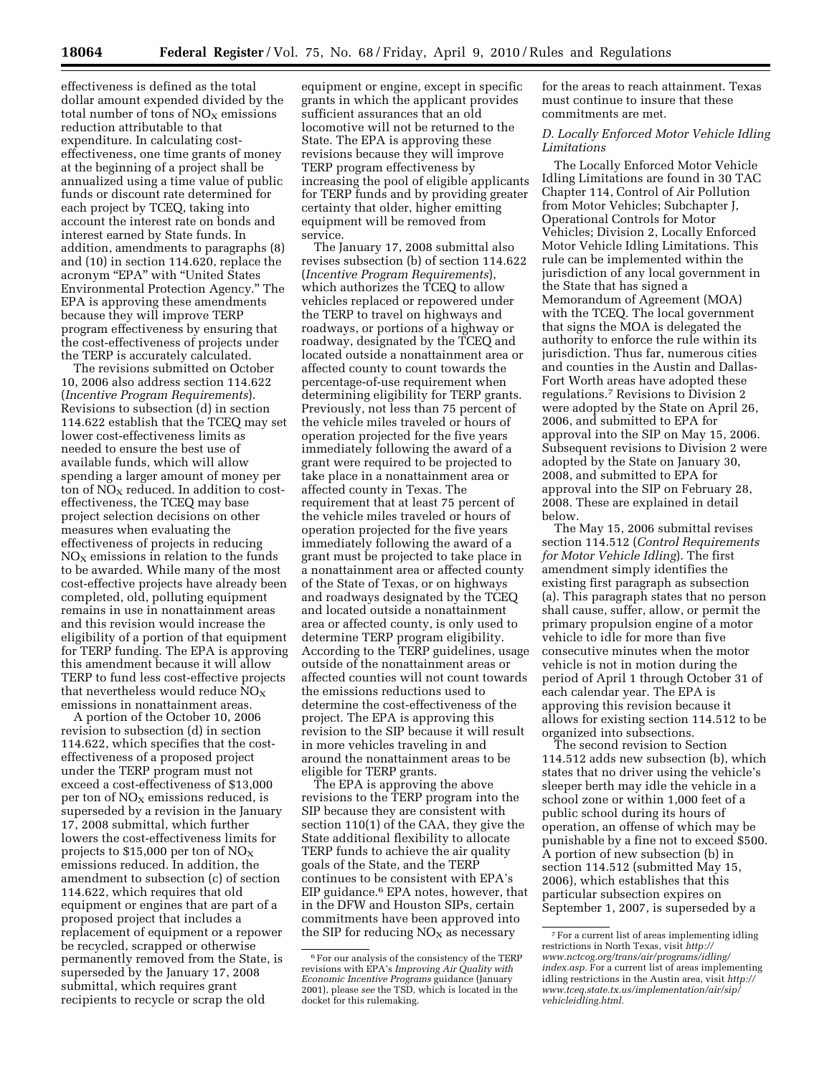effectiveness is defined as the total dollar amount expended divided by the total number of tons of  $NO<sub>X</sub>$  emissions reduction attributable to that expenditure. In calculating costeffectiveness, one time grants of money at the beginning of a project shall be annualized using a time value of public funds or discount rate determined for each project by TCEQ, taking into account the interest rate on bonds and interest earned by State funds. In addition, amendments to paragraphs (8) and (10) in section 114.620, replace the acronym "EPA" with "United States Environmental Protection Agency.'' The EPA is approving these amendments because they will improve TERP program effectiveness by ensuring that the cost-effectiveness of projects under the TERP is accurately calculated.

The revisions submitted on October 10, 2006 also address section 114.622 (*Incentive Program Requirements*). Revisions to subsection (d) in section 114.622 establish that the TCEQ may set lower cost-effectiveness limits as needed to ensure the best use of available funds, which will allow spending a larger amount of money per ton of  $NO<sub>X</sub>$  reduced. In addition to costeffectiveness, the TCEQ may base project selection decisions on other measures when evaluating the effectiveness of projects in reducing  $NO<sub>x</sub>$  emissions in relation to the funds to be awarded. While many of the most cost-effective projects have already been completed, old, polluting equipment remains in use in nonattainment areas and this revision would increase the eligibility of a portion of that equipment for TERP funding. The EPA is approving this amendment because it will allow TERP to fund less cost-effective projects that nevertheless would reduce  $NO<sub>x</sub>$ emissions in nonattainment areas.

A portion of the October 10, 2006 revision to subsection (d) in section 114.622, which specifies that the costeffectiveness of a proposed project under the TERP program must not exceed a cost-effectiveness of \$13,000 per ton of  $NO<sub>x</sub>$  emissions reduced, is superseded by a revision in the January 17, 2008 submittal, which further lowers the cost-effectiveness limits for projects to  $$15,000$  per ton of NO<sub>X</sub> emissions reduced. In addition, the amendment to subsection (c) of section 114.622, which requires that old equipment or engines that are part of a proposed project that includes a replacement of equipment or a repower be recycled, scrapped or otherwise permanently removed from the State, is superseded by the January 17, 2008 submittal, which requires grant recipients to recycle or scrap the old

equipment or engine, except in specific grants in which the applicant provides sufficient assurances that an old locomotive will not be returned to the State. The EPA is approving these revisions because they will improve TERP program effectiveness by increasing the pool of eligible applicants for TERP funds and by providing greater certainty that older, higher emitting equipment will be removed from service.

The January 17, 2008 submittal also revises subsection (b) of section 114.622 (*Incentive Program Requirements*), which authorizes the TCEQ to allow vehicles replaced or repowered under the TERP to travel on highways and roadways, or portions of a highway or roadway, designated by the TCEQ and located outside a nonattainment area or affected county to count towards the percentage-of-use requirement when determining eligibility for TERP grants. Previously, not less than 75 percent of the vehicle miles traveled or hours of operation projected for the five years immediately following the award of a grant were required to be projected to take place in a nonattainment area or affected county in Texas. The requirement that at least 75 percent of the vehicle miles traveled or hours of operation projected for the five years immediately following the award of a grant must be projected to take place in a nonattainment area or affected county of the State of Texas, or on highways and roadways designated by the TCEQ and located outside a nonattainment area or affected county, is only used to determine TERP program eligibility. According to the TERP guidelines, usage outside of the nonattainment areas or affected counties will not count towards the emissions reductions used to determine the cost-effectiveness of the project. The EPA is approving this revision to the SIP because it will result in more vehicles traveling in and around the nonattainment areas to be eligible for TERP grants.

The EPA is approving the above revisions to the TERP program into the SIP because they are consistent with section 110(1) of the CAA, they give the State additional flexibility to allocate TERP funds to achieve the air quality goals of the State, and the TERP continues to be consistent with EPA's EIP guidance.6 EPA notes, however, that in the DFW and Houston SIPs, certain commitments have been approved into the SIP for reducing  $NO<sub>x</sub>$  as necessary

for the areas to reach attainment. Texas must continue to insure that these commitments are met.

### *D. Locally Enforced Motor Vehicle Idling Limitations*

The Locally Enforced Motor Vehicle Idling Limitations are found in 30 TAC Chapter 114, Control of Air Pollution from Motor Vehicles; Subchapter J, Operational Controls for Motor Vehicles; Division 2, Locally Enforced Motor Vehicle Idling Limitations. This rule can be implemented within the jurisdiction of any local government in the State that has signed a Memorandum of Agreement (MOA) with the TCEQ. The local government that signs the MOA is delegated the authority to enforce the rule within its jurisdiction. Thus far, numerous cities and counties in the Austin and Dallas-Fort Worth areas have adopted these regulations.7 Revisions to Division 2 were adopted by the State on April 26, 2006, and submitted to EPA for approval into the SIP on May 15, 2006. Subsequent revisions to Division 2 were adopted by the State on January 30, 2008, and submitted to EPA for approval into the SIP on February 28, 2008. These are explained in detail below.

The May 15, 2006 submittal revises section 114.512 (*Control Requirements for Motor Vehicle Idling*). The first amendment simply identifies the existing first paragraph as subsection (a). This paragraph states that no person shall cause, suffer, allow, or permit the primary propulsion engine of a motor vehicle to idle for more than five consecutive minutes when the motor vehicle is not in motion during the period of April 1 through October 31 of each calendar year. The EPA is approving this revision because it allows for existing section 114.512 to be organized into subsections.

The second revision to Section 114.512 adds new subsection (b), which states that no driver using the vehicle's sleeper berth may idle the vehicle in a school zone or within 1,000 feet of a public school during its hours of operation, an offense of which may be punishable by a fine not to exceed \$500. A portion of new subsection (b) in section 114.512 (submitted May 15, 2006), which establishes that this particular subsection expires on September 1, 2007, is superseded by a

<sup>6</sup>For our analysis of the consistency of the TERP revisions with EPA's *Improving Air Quality with Economic Incentive Programs* guidance (January 2001), please *see* the TSD, which is located in the docket for this rulemaking.

<sup>7</sup>For a current list of areas implementing idling restrictions in North Texas, visit *http:// www.nctcog.org/trans/air/programs/idling/ index.asp.* For a current list of areas implementing idling restrictions in the Austin area, visit *http:// www.tceq.state.tx.us/implementation/air/sip/ vehicleidling.html.*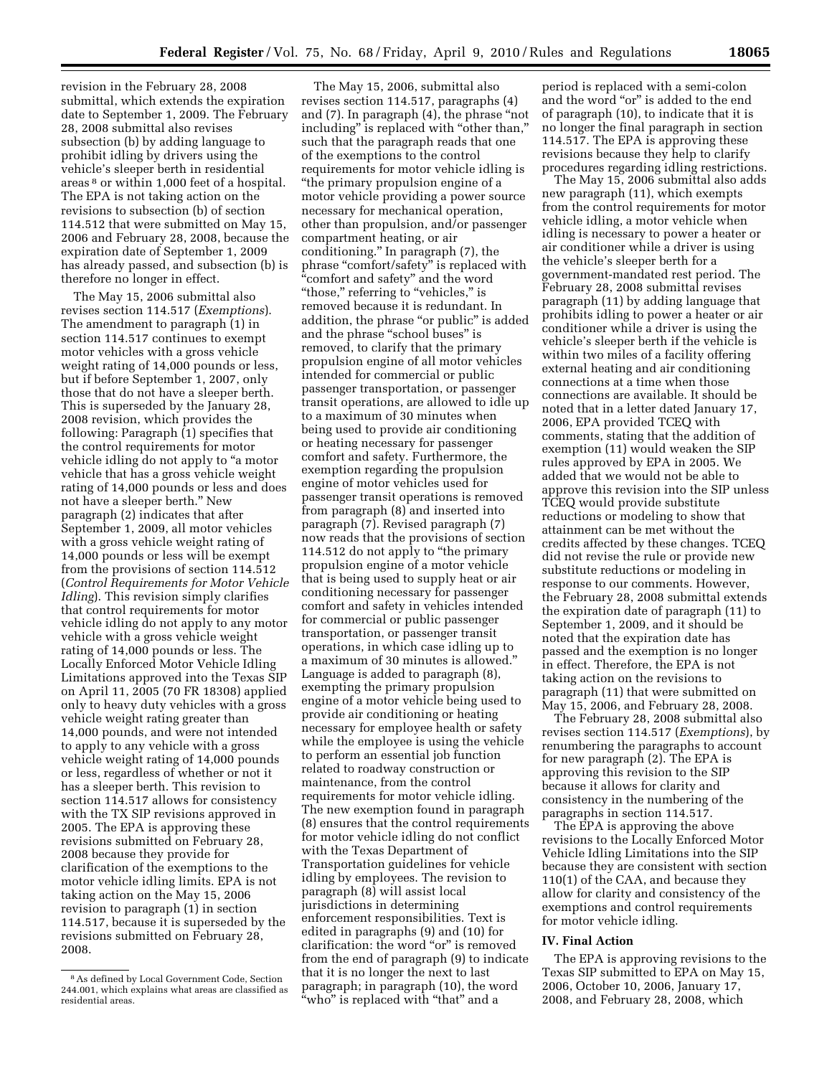revision in the February 28, 2008 submittal, which extends the expiration date to September 1, 2009. The February 28, 2008 submittal also revises subsection (b) by adding language to prohibit idling by drivers using the vehicle's sleeper berth in residential areas 8 or within 1,000 feet of a hospital. The EPA is not taking action on the revisions to subsection (b) of section 114.512 that were submitted on May 15, 2006 and February 28, 2008, because the expiration date of September 1, 2009 has already passed, and subsection (b) is therefore no longer in effect.

The May 15, 2006 submittal also revises section 114.517 (*Exemptions*). The amendment to paragraph (1) in section 114.517 continues to exempt motor vehicles with a gross vehicle weight rating of 14,000 pounds or less, but if before September 1, 2007, only those that do not have a sleeper berth. This is superseded by the January 28, 2008 revision, which provides the following: Paragraph (1) specifies that the control requirements for motor vehicle idling do not apply to "a motor vehicle that has a gross vehicle weight rating of 14,000 pounds or less and does not have a sleeper berth.'' New paragraph (2) indicates that after September 1, 2009, all motor vehicles with a gross vehicle weight rating of 14,000 pounds or less will be exempt from the provisions of section 114.512 (*Control Requirements for Motor Vehicle Idling*). This revision simply clarifies that control requirements for motor vehicle idling do not apply to any motor vehicle with a gross vehicle weight rating of 14,000 pounds or less. The Locally Enforced Motor Vehicle Idling Limitations approved into the Texas SIP on April 11, 2005 (70 FR 18308) applied only to heavy duty vehicles with a gross vehicle weight rating greater than 14,000 pounds, and were not intended to apply to any vehicle with a gross vehicle weight rating of 14,000 pounds or less, regardless of whether or not it has a sleeper berth. This revision to section 114.517 allows for consistency with the TX SIP revisions approved in 2005. The EPA is approving these revisions submitted on February 28, 2008 because they provide for clarification of the exemptions to the motor vehicle idling limits. EPA is not taking action on the May 15, 2006 revision to paragraph (1) in section 114.517, because it is superseded by the revisions submitted on February 28, 2008.

The May 15, 2006, submittal also revises section 114.517, paragraphs (4) and (7). In paragraph (4), the phrase ''not including" is replaced with "other than," such that the paragraph reads that one of the exemptions to the control requirements for motor vehicle idling is ''the primary propulsion engine of a motor vehicle providing a power source necessary for mechanical operation, other than propulsion, and/or passenger compartment heating, or air conditioning.'' In paragraph (7), the phrase "comfort/safety" is replaced with ''comfort and safety'' and the word "those," referring to "vehicles," is removed because it is redundant. In addition, the phrase "or public" is added and the phrase "school buses" is removed, to clarify that the primary propulsion engine of all motor vehicles intended for commercial or public passenger transportation, or passenger transit operations, are allowed to idle up to a maximum of 30 minutes when being used to provide air conditioning or heating necessary for passenger comfort and safety. Furthermore, the exemption regarding the propulsion engine of motor vehicles used for passenger transit operations is removed from paragraph (8) and inserted into paragraph (7). Revised paragraph (7) now reads that the provisions of section 114.512 do not apply to "the primary propulsion engine of a motor vehicle that is being used to supply heat or air conditioning necessary for passenger comfort and safety in vehicles intended for commercial or public passenger transportation, or passenger transit operations, in which case idling up to a maximum of 30 minutes is allowed.'' Language is added to paragraph (8), exempting the primary propulsion engine of a motor vehicle being used to provide air conditioning or heating necessary for employee health or safety while the employee is using the vehicle to perform an essential job function related to roadway construction or maintenance, from the control requirements for motor vehicle idling. The new exemption found in paragraph (8) ensures that the control requirements for motor vehicle idling do not conflict with the Texas Department of Transportation guidelines for vehicle idling by employees. The revision to paragraph (8) will assist local jurisdictions in determining enforcement responsibilities. Text is edited in paragraphs (9) and (10) for clarification: the word "or" is removed from the end of paragraph (9) to indicate that it is no longer the next to last paragraph; in paragraph (10), the word "who" is replaced with "that" and a

period is replaced with a semi-colon and the word "or" is added to the end of paragraph (10), to indicate that it is no longer the final paragraph in section 114.517. The EPA is approving these revisions because they help to clarify procedures regarding idling restrictions.

The May 15, 2006 submittal also adds new paragraph (11), which exempts from the control requirements for motor vehicle idling, a motor vehicle when idling is necessary to power a heater or air conditioner while a driver is using the vehicle's sleeper berth for a government-mandated rest period. The February 28, 2008 submittal revises paragraph (11) by adding language that prohibits idling to power a heater or air conditioner while a driver is using the vehicle's sleeper berth if the vehicle is within two miles of a facility offering external heating and air conditioning connections at a time when those connections are available. It should be noted that in a letter dated January 17, 2006, EPA provided TCEQ with comments, stating that the addition of exemption (11) would weaken the SIP rules approved by EPA in 2005. We added that we would not be able to approve this revision into the SIP unless TCEQ would provide substitute reductions or modeling to show that attainment can be met without the credits affected by these changes. TCEQ did not revise the rule or provide new substitute reductions or modeling in response to our comments. However, the February 28, 2008 submittal extends the expiration date of paragraph (11) to September 1, 2009, and it should be noted that the expiration date has passed and the exemption is no longer in effect. Therefore, the EPA is not taking action on the revisions to paragraph (11) that were submitted on May 15, 2006, and February 28, 2008.

The February 28, 2008 submittal also revises section 114.517 (*Exemptions*), by renumbering the paragraphs to account for new paragraph (2). The EPA is approving this revision to the SIP because it allows for clarity and consistency in the numbering of the paragraphs in section 114.517.

The EPA is approving the above revisions to the Locally Enforced Motor Vehicle Idling Limitations into the SIP because they are consistent with section 110(1) of the CAA, and because they allow for clarity and consistency of the exemptions and control requirements for motor vehicle idling.

#### **IV. Final Action**

The EPA is approving revisions to the Texas SIP submitted to EPA on May 15, 2006, October 10, 2006, January 17, 2008, and February 28, 2008, which

<sup>8</sup>As defined by Local Government Code, Section 244.001, which explains what areas are classified as residential areas.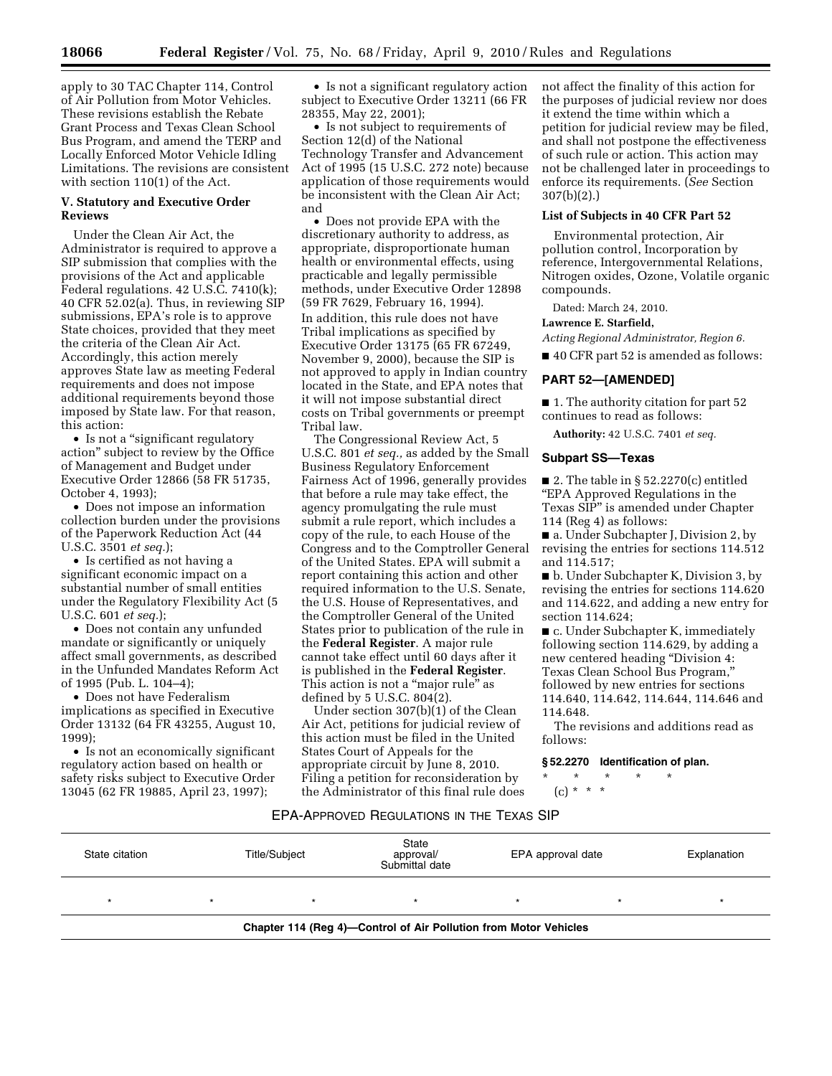apply to 30 TAC Chapter 114, Control of Air Pollution from Motor Vehicles. These revisions establish the Rebate Grant Process and Texas Clean School Bus Program, and amend the TERP and Locally Enforced Motor Vehicle Idling Limitations. The revisions are consistent with section 110(1) of the Act.

#### **V. Statutory and Executive Order Reviews**

Under the Clean Air Act, the Administrator is required to approve a SIP submission that complies with the provisions of the Act and applicable Federal regulations. 42 U.S.C. 7410(k); 40 CFR 52.02(a). Thus, in reviewing SIP submissions, EPA's role is to approve State choices, provided that they meet the criteria of the Clean Air Act. Accordingly, this action merely approves State law as meeting Federal requirements and does not impose additional requirements beyond those imposed by State law. For that reason, this action:

• Is not a "significant regulatory action'' subject to review by the Office of Management and Budget under Executive Order 12866 (58 FR 51735, October 4, 1993);

• Does not impose an information collection burden under the provisions of the Paperwork Reduction Act (44 U.S.C. 3501 *et seq.*);

• Is certified as not having a significant economic impact on a substantial number of small entities under the Regulatory Flexibility Act (5 U.S.C. 601 *et seq.*);

• Does not contain any unfunded mandate or significantly or uniquely affect small governments, as described in the Unfunded Mandates Reform Act of 1995 (Pub. L. 104–4);

• Does not have Federalism implications as specified in Executive Order 13132 (64 FR 43255, August 10, 1999);

• Is not an economically significant regulatory action based on health or safety risks subject to Executive Order 13045 (62 FR 19885, April 23, 1997);

• Is not a significant regulatory action subject to Executive Order 13211 (66 FR 28355, May 22, 2001);

• Is not subject to requirements of Section 12(d) of the National Technology Transfer and Advancement Act of 1995 (15 U.S.C. 272 note) because application of those requirements would be inconsistent with the Clean Air Act; and

• Does not provide EPA with the discretionary authority to address, as appropriate, disproportionate human health or environmental effects, using practicable and legally permissible methods, under Executive Order 12898 (59 FR 7629, February 16, 1994). In addition, this rule does not have Tribal implications as specified by Executive Order 13175 (65 FR 67249, November 9, 2000), because the SIP is not approved to apply in Indian country located in the State, and EPA notes that it will not impose substantial direct costs on Tribal governments or preempt Tribal law.

The Congressional Review Act, 5 U.S.C. 801 *et seq.,* as added by the Small Business Regulatory Enforcement Fairness Act of 1996, generally provides that before a rule may take effect, the agency promulgating the rule must submit a rule report, which includes a copy of the rule, to each House of the Congress and to the Comptroller General of the United States. EPA will submit a report containing this action and other required information to the U.S. Senate, the U.S. House of Representatives, and the Comptroller General of the United States prior to publication of the rule in the **Federal Register**. A major rule cannot take effect until 60 days after it is published in the **Federal Register**. This action is not a "major rule" as defined by 5 U.S.C. 804(2).

Under section 307(b)(1) of the Clean Air Act, petitions for judicial review of this action must be filed in the United States Court of Appeals for the appropriate circuit by June 8, 2010. Filing a petition for reconsideration by the Administrator of this final rule does not affect the finality of this action for the purposes of judicial review nor does it extend the time within which a petition for judicial review may be filed, and shall not postpone the effectiveness of such rule or action. This action may not be challenged later in proceedings to enforce its requirements. (*See* Section 307(b)(2).)

#### **List of Subjects in 40 CFR Part 52**

Environmental protection, Air pollution control, Incorporation by reference, Intergovernmental Relations, Nitrogen oxides, Ozone, Volatile organic compounds.

Dated: March 24, 2010.

#### **Lawrence E. Starfield,**

*Acting Regional Administrator, Region 6.* 

■ 40 CFR part 52 is amended as follows:

### **PART 52—[AMENDED]**

■ 1. The authority citation for part 52 continues to read as follows:

**Authority:** 42 U.S.C. 7401 *et seq.* 

#### **Subpart SS—Texas**

 $\blacksquare$  2. The table in § 52.2270(c) entitled ''EPA Approved Regulations in the Texas SIP'' is amended under Chapter 114 (Reg 4) as follows:

■ a. Under Subchapter J, Division 2, by revising the entries for sections 114.512 and 114.517;

■ b. Under Subchapter K, Division 3, by revising the entries for sections 114.620 and 114.622, and adding a new entry for section 114.624;

■ c. Under Subchapter K, immediately following section 114.629, by adding a new centered heading "Division 4: Texas Clean School Bus Program,'' followed by new entries for sections 114.640, 114.642, 114.644, 114.646 and 114.648.

The revisions and additions read as follows:

#### **§ 52.2270 Identification of plan.**

\* \* \* \* \* (c) \* \* \*

#### EPA-APPROVED REGULATIONS IN THE TEXAS SIP

| State citation                                                   | Title/Subject |  | State<br>approval/<br>Submittal date | EPA approval date |  | Explanation |  |  |  |
|------------------------------------------------------------------|---------------|--|--------------------------------------|-------------------|--|-------------|--|--|--|
|                                                                  |               |  |                                      |                   |  |             |  |  |  |
| Chapter 114 (Reg 4)-Control of Air Pollution from Motor Vehicles |               |  |                                      |                   |  |             |  |  |  |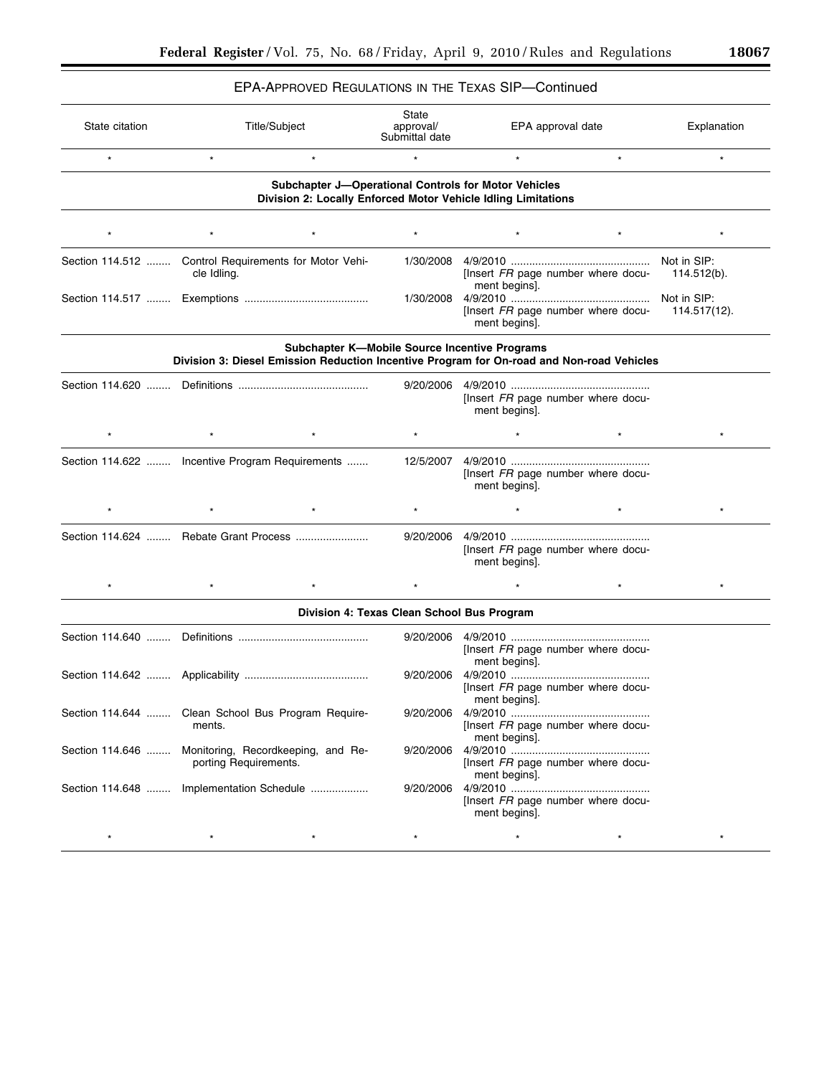# EPA-APPROVED REGULATIONS IN THE TEXAS SIP—Continued

| State citation  | Title/Subject                                                                             | State<br>approval/<br>Submittal date       | EPA approval date                                                                                                            | Explanation                 |  |
|-----------------|-------------------------------------------------------------------------------------------|--------------------------------------------|------------------------------------------------------------------------------------------------------------------------------|-----------------------------|--|
| $\star$         | $\star$<br>$\star$                                                                        | $\star$                                    | $\star$<br>$\star$                                                                                                           | $\star$                     |  |
|                 |                                                                                           |                                            | <b>Subchapter J-Operational Controls for Motor Vehicles</b><br>Division 2: Locally Enforced Motor Vehicle Idling Limitations |                             |  |
| $\star$         |                                                                                           | $\star$                                    |                                                                                                                              |                             |  |
|                 | Section 114.512  Control Requirements for Motor Vehi-<br>cle Idling.                      | 1/30/2008                                  | [Insert FR page number where docu-<br>ment begins].                                                                          | Not in SIP:<br>114.512(b).  |  |
|                 |                                                                                           | 1/30/2008                                  | [Insert FR page number where docu-<br>ment begins].                                                                          | Not in SIP:<br>114.517(12). |  |
|                 | Division 3: Diesel Emission Reduction Incentive Program for On-road and Non-road Vehicles |                                            | Subchapter K-Mobile Source Incentive Programs                                                                                |                             |  |
|                 |                                                                                           | 9/20/2006                                  | [Insert FR page number where docu-<br>ment begins].                                                                          |                             |  |
|                 |                                                                                           |                                            |                                                                                                                              |                             |  |
|                 | Section 114.622  Incentive Program Requirements                                           | 12/5/2007                                  | [Insert FR page number where docu-<br>ment begins].                                                                          |                             |  |
|                 |                                                                                           | $\star$                                    |                                                                                                                              | $\star$                     |  |
|                 |                                                                                           | 9/20/2006                                  | [Insert FR page number where docu-<br>ment begins].                                                                          |                             |  |
| $\star$         |                                                                                           |                                            |                                                                                                                              | $\star$                     |  |
|                 |                                                                                           | Division 4: Texas Clean School Bus Program |                                                                                                                              |                             |  |
|                 |                                                                                           | 9/20/2006                                  | [Insert FR page number where docu-<br>ment begins].                                                                          |                             |  |
|                 |                                                                                           | 9/20/2006                                  | [Insert FR page number where docu-<br>ment begins].                                                                          |                             |  |
|                 | Section 114.644  Clean School Bus Program Require-<br>ments.                              |                                            | [Insert FR page number where docu-<br>ment begins].                                                                          |                             |  |
| Section 114.646 | Monitoring, Recordkeeping, and Re-<br>porting Requirements.                               | 9/20/2006                                  | [Insert FR page number where docu-<br>ment begins].                                                                          |                             |  |
|                 | Section 114.648  Implementation Schedule                                                  | 9/20/2006                                  | [Insert FR page number where docu-<br>ment begins].                                                                          |                             |  |
|                 |                                                                                           |                                            |                                                                                                                              |                             |  |